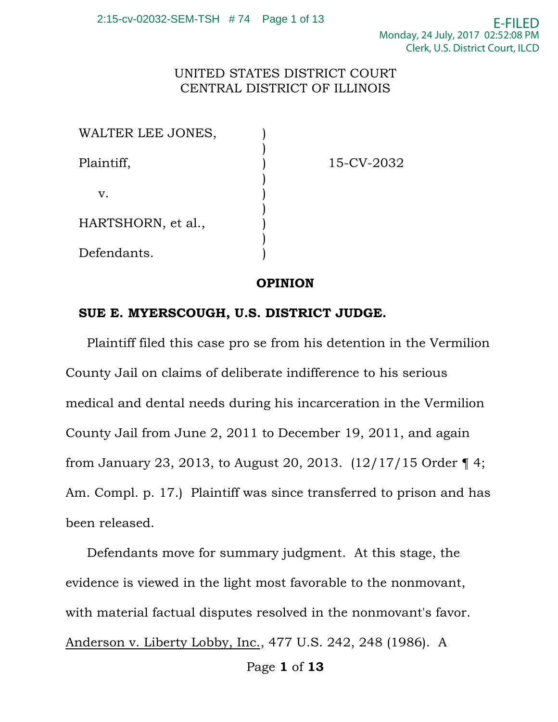## UNITED STATES DISTRICT COURT CENTRAL DISTRICT OF ILLINOIS

| WALTER LEE JONES,  |            |
|--------------------|------------|
| Plaintiff,         | 15-CV-2032 |
| $V_{\cdot}$        |            |
| HARTSHORN, et al., |            |
| Defendants.        |            |

## **OPINION**

## **SUE E. MYERSCOUGH, U.S. DISTRICT JUDGE.**

 Plaintiff filed this case pro se from his detention in the Vermilion County Jail on claims of deliberate indifference to his serious medical and dental needs during his incarceration in the Vermilion County Jail from June 2, 2011 to December 19, 2011, and again from January 23, 2013, to August 20, 2013.  $(12/17/15 \text{ Order } 4;$ Am. Compl. p. 17.) Plaintiff was since transferred to prison and has been released.

 Defendants move for summary judgment. At this stage, the evidence is viewed in the light most favorable to the nonmovant, with material factual disputes resolved in the nonmovant's favor. Anderson v. Liberty Lobby, Inc., 477 U.S. 242, 248 (1986). A

Page **1** of **13**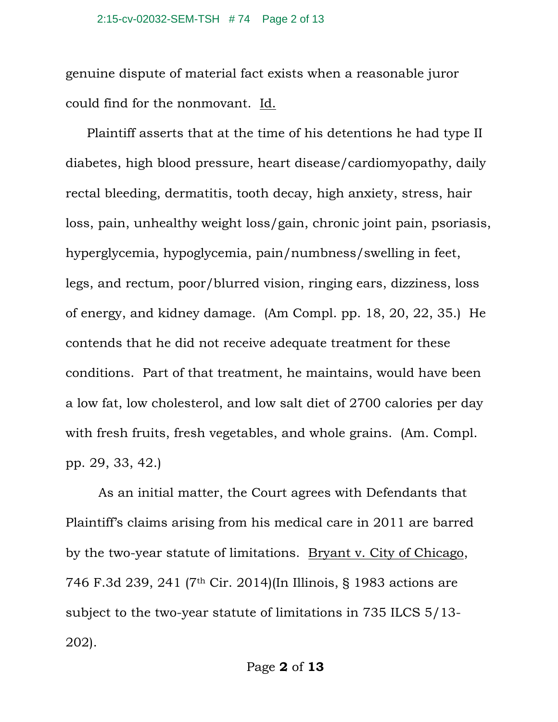genuine dispute of material fact exists when a reasonable juror could find for the nonmovant. Id.

 Plaintiff asserts that at the time of his detentions he had type II diabetes, high blood pressure, heart disease/cardiomyopathy, daily rectal bleeding, dermatitis, tooth decay, high anxiety, stress, hair loss, pain, unhealthy weight loss/gain, chronic joint pain, psoriasis, hyperglycemia, hypoglycemia, pain/numbness/swelling in feet, legs, and rectum, poor/blurred vision, ringing ears, dizziness, loss of energy, and kidney damage. (Am Compl. pp. 18, 20, 22, 35.) He contends that he did not receive adequate treatment for these conditions. Part of that treatment, he maintains, would have been a low fat, low cholesterol, and low salt diet of 2700 calories per day with fresh fruits, fresh vegetables, and whole grains. (Am. Compl. pp. 29, 33, 42.)

 As an initial matter, the Court agrees with Defendants that Plaintiff's claims arising from his medical care in 2011 are barred by the two-year statute of limitations. Bryant v. City of Chicago, 746 F.3d 239, 241 (7th Cir. 2014)(In Illinois, § 1983 actions are subject to the two-year statute of limitations in 735 ILCS 5/13- 202).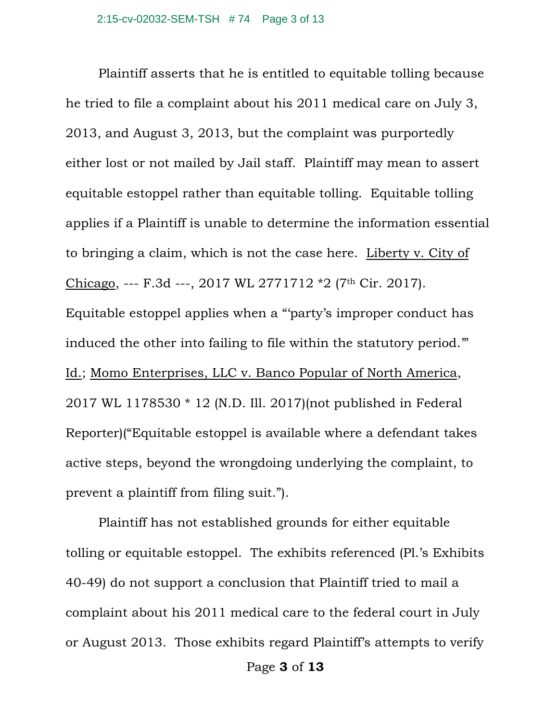Plaintiff asserts that he is entitled to equitable tolling because he tried to file a complaint about his 2011 medical care on July 3, 2013, and August 3, 2013, but the complaint was purportedly either lost or not mailed by Jail staff. Plaintiff may mean to assert equitable estoppel rather than equitable tolling. Equitable tolling applies if a Plaintiff is unable to determine the information essential to bringing a claim, which is not the case here. Liberty v. City of Chicago, --- F.3d ---, 2017 WL 2771712 \*2 (7th Cir. 2017). Equitable estoppel applies when a "'party's improper conduct has induced the other into failing to file within the statutory period.'" Id.; Momo Enterprises, LLC v. Banco Popular of North America, 2017 WL 1178530 \* 12 (N.D. Ill. 2017)(not published in Federal Reporter)("Equitable estoppel is available where a defendant takes active steps, beyond the wrongdoing underlying the complaint, to prevent a plaintiff from filing suit.").

Plaintiff has not established grounds for either equitable tolling or equitable estoppel. The exhibits referenced (Pl.'s Exhibits 40-49) do not support a conclusion that Plaintiff tried to mail a complaint about his 2011 medical care to the federal court in July or August 2013. Those exhibits regard Plaintiff's attempts to verify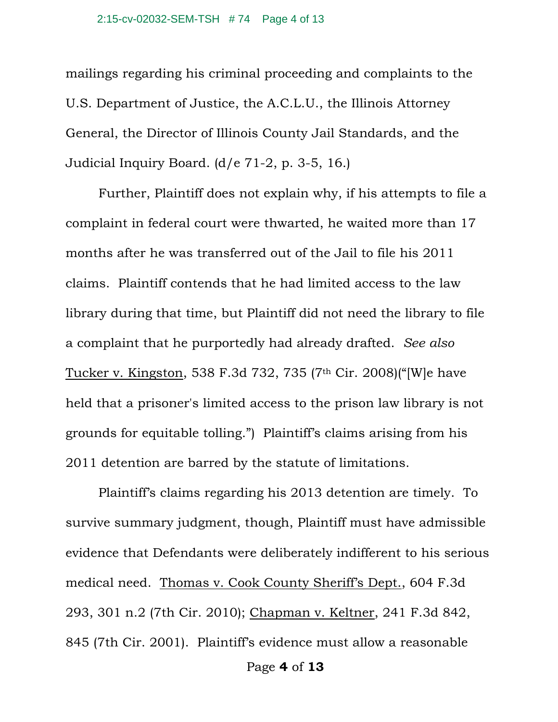#### 2:15-cv-02032-SEM-TSH # 74 Page 4 of 13

mailings regarding his criminal proceeding and complaints to the U.S. Department of Justice, the A.C.L.U., the Illinois Attorney General, the Director of Illinois County Jail Standards, and the Judicial Inquiry Board. (d/e 71-2, p. 3-5, 16.)

Further, Plaintiff does not explain why, if his attempts to file a complaint in federal court were thwarted, he waited more than 17 months after he was transferred out of the Jail to file his 2011 claims. Plaintiff contends that he had limited access to the law library during that time, but Plaintiff did not need the library to file a complaint that he purportedly had already drafted. *See also* Tucker v. Kingston, 538 F.3d 732, 735 (7th Cir. 2008)("[W]e have held that a prisoner's limited access to the prison law library is not grounds for equitable tolling.") Plaintiff's claims arising from his 2011 detention are barred by the statute of limitations.

Plaintiff's claims regarding his 2013 detention are timely. To survive summary judgment, though, Plaintiff must have admissible evidence that Defendants were deliberately indifferent to his serious medical need. Thomas v. Cook County Sheriff's Dept., 604 F.3d 293, 301 n.2 (7th Cir. 2010); Chapman v. Keltner, 241 F.3d 842, 845 (7th Cir. 2001). Plaintiff's evidence must allow a reasonable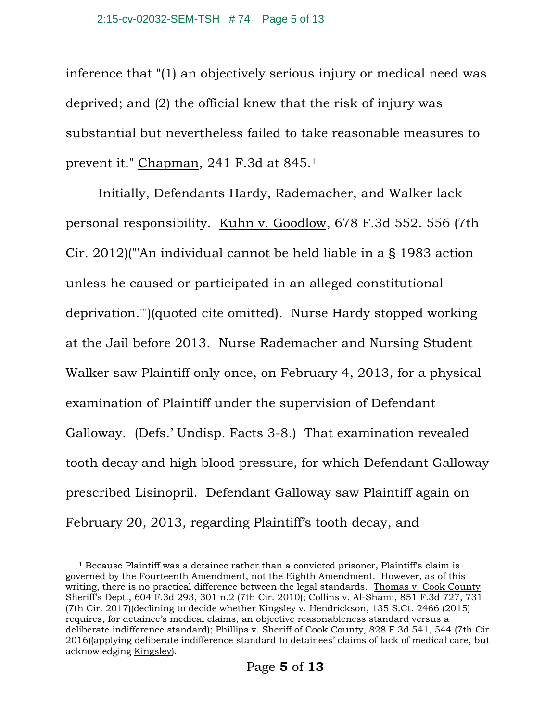inference that "(1) an objectively serious injury or medical need was deprived; and (2) the official knew that the risk of injury was substantial but nevertheless failed to take reasonable measures to prevent it." Chapman, 241 F.3d at 845.1

Initially, Defendants Hardy, Rademacher, and Walker lack personal responsibility. Kuhn v. Goodlow, 678 F.3d 552. 556 (7th Cir. 2012)("'An individual cannot be held liable in a § 1983 action unless he caused or participated in an alleged constitutional deprivation.'")(quoted cite omitted). Nurse Hardy stopped working at the Jail before 2013. Nurse Rademacher and Nursing Student Walker saw Plaintiff only once, on February 4, 2013, for a physical examination of Plaintiff under the supervision of Defendant Galloway. (Defs.' Undisp. Facts 3-8.) That examination revealed tooth decay and high blood pressure, for which Defendant Galloway prescribed Lisinopril. Defendant Galloway saw Plaintiff again on February 20, 2013, regarding Plaintiff's tooth decay, and

 $\overline{a}$ 

 $1$  Because Plaintiff was a detainee rather than a convicted prisoner, Plaintiff's claim is governed by the Fourteenth Amendment, not the Eighth Amendment. However, as of this writing, there is no practical difference between the legal standards. Thomas v. Cook County Sheriff's Dept., 604 F.3d 293, 301 n.2 (7th Cir. 2010); Collins v. Al-Shami, 851 F.3d 727, 731 (7th Cir. 2017)(declining to decide whether Kingsley v. Hendrickson, 135 S.Ct. 2466 (2015) requires, for detainee's medical claims, an objective reasonableness standard versus a deliberate indifference standard); Phillips v. Sheriff of Cook County, 828 F.3d 541, 544 (7th Cir. 2016)(applying deliberate indifference standard to detainees' claims of lack of medical care, but acknowledging Kingsley).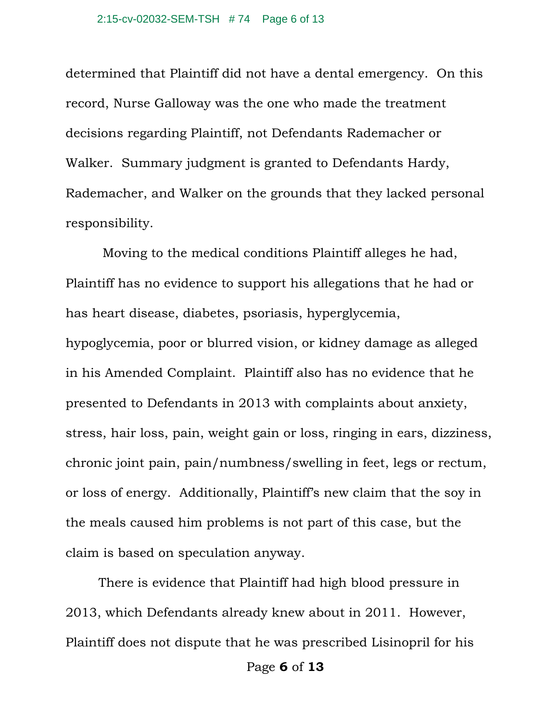determined that Plaintiff did not have a dental emergency. On this record, Nurse Galloway was the one who made the treatment decisions regarding Plaintiff, not Defendants Rademacher or Walker. Summary judgment is granted to Defendants Hardy, Rademacher, and Walker on the grounds that they lacked personal responsibility.

 Moving to the medical conditions Plaintiff alleges he had, Plaintiff has no evidence to support his allegations that he had or has heart disease, diabetes, psoriasis, hyperglycemia, hypoglycemia, poor or blurred vision, or kidney damage as alleged in his Amended Complaint. Plaintiff also has no evidence that he presented to Defendants in 2013 with complaints about anxiety, stress, hair loss, pain, weight gain or loss, ringing in ears, dizziness, chronic joint pain, pain/numbness/swelling in feet, legs or rectum, or loss of energy. Additionally, Plaintiff's new claim that the soy in the meals caused him problems is not part of this case, but the claim is based on speculation anyway.

There is evidence that Plaintiff had high blood pressure in 2013, which Defendants already knew about in 2011. However, Plaintiff does not dispute that he was prescribed Lisinopril for his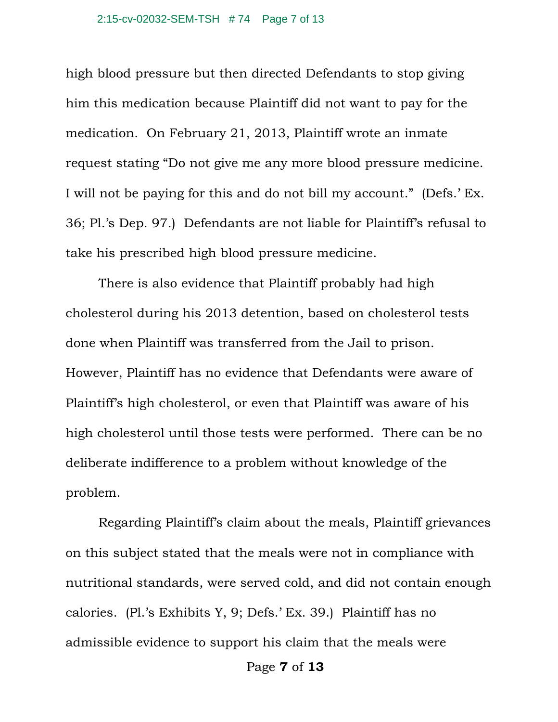high blood pressure but then directed Defendants to stop giving him this medication because Plaintiff did not want to pay for the medication. On February 21, 2013, Plaintiff wrote an inmate request stating "Do not give me any more blood pressure medicine. I will not be paying for this and do not bill my account." (Defs.' Ex. 36; Pl.'s Dep. 97.) Defendants are not liable for Plaintiff's refusal to take his prescribed high blood pressure medicine.

There is also evidence that Plaintiff probably had high cholesterol during his 2013 detention, based on cholesterol tests done when Plaintiff was transferred from the Jail to prison. However, Plaintiff has no evidence that Defendants were aware of Plaintiff's high cholesterol, or even that Plaintiff was aware of his high cholesterol until those tests were performed. There can be no deliberate indifference to a problem without knowledge of the problem.

Regarding Plaintiff's claim about the meals, Plaintiff grievances on this subject stated that the meals were not in compliance with nutritional standards, were served cold, and did not contain enough calories. (Pl.'s Exhibits Y, 9; Defs.' Ex. 39.) Plaintiff has no admissible evidence to support his claim that the meals were

Page **7** of **13**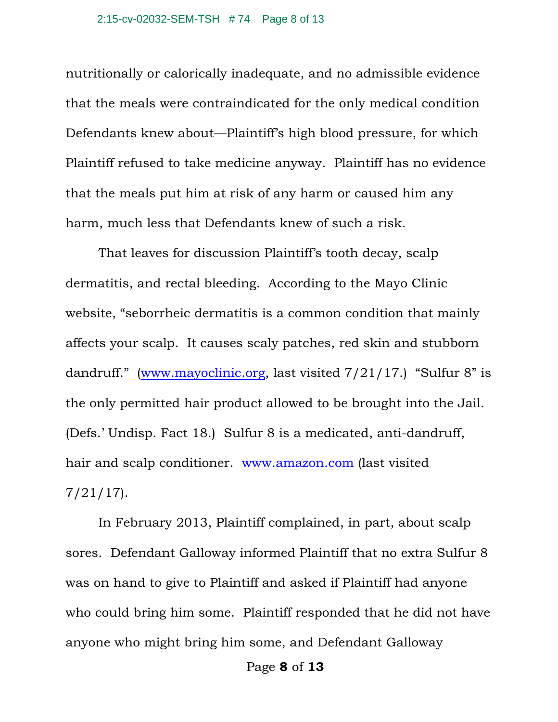nutritionally or calorically inadequate, and no admissible evidence that the meals were contraindicated for the only medical condition Defendants knew about—Plaintiff's high blood pressure, for which Plaintiff refused to take medicine anyway. Plaintiff has no evidence that the meals put him at risk of any harm or caused him any harm, much less that Defendants knew of such a risk.

That leaves for discussion Plaintiff's tooth decay, scalp dermatitis, and rectal bleeding. According to the Mayo Clinic website, "seborrheic dermatitis is a common condition that mainly affects your scalp. It causes scaly patches, red skin and stubborn dandruff." (www.mayoclinic.org, last visited 7/21/17.) "Sulfur 8" is the only permitted hair product allowed to be brought into the Jail. (Defs.' Undisp. Fact 18.) Sulfur 8 is a medicated, anti-dandruff, hair and scalp conditioner. www.amazon.com (last visited 7/21/17).

In February 2013, Plaintiff complained, in part, about scalp sores. Defendant Galloway informed Plaintiff that no extra Sulfur 8 was on hand to give to Plaintiff and asked if Plaintiff had anyone who could bring him some. Plaintiff responded that he did not have anyone who might bring him some, and Defendant Galloway

Page **8** of **13**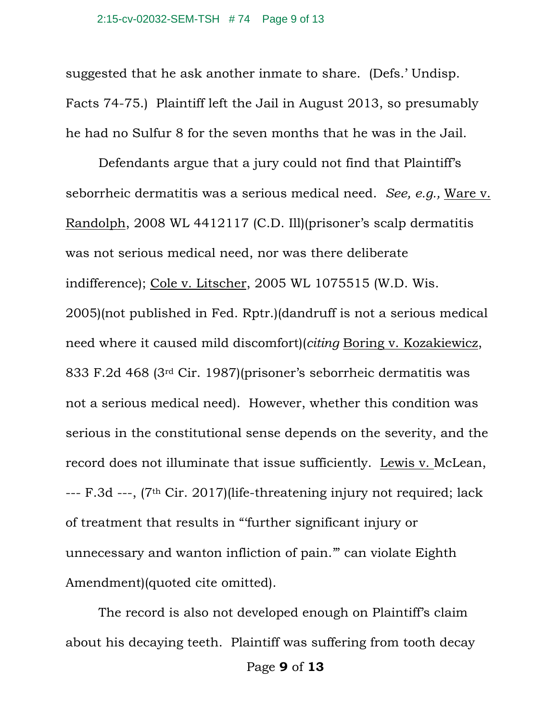suggested that he ask another inmate to share. (Defs.' Undisp. Facts 74-75.) Plaintiff left the Jail in August 2013, so presumably he had no Sulfur 8 for the seven months that he was in the Jail.

Defendants argue that a jury could not find that Plaintiff's seborrheic dermatitis was a serious medical need. *See, e.g.,* Ware v. Randolph, 2008 WL 4412117 (C.D. Ill)(prisoner's scalp dermatitis was not serious medical need, nor was there deliberate indifference); Cole v. Litscher, 2005 WL 1075515 (W.D. Wis. 2005)(not published in Fed. Rptr.)(dandruff is not a serious medical need where it caused mild discomfort)(*citing* Boring v. Kozakiewicz, 833 F.2d 468 (3rd Cir. 1987)(prisoner's seborrheic dermatitis was not a serious medical need). However, whether this condition was serious in the constitutional sense depends on the severity, and the record does not illuminate that issue sufficiently. Lewis v. McLean, --- F.3d ---, (7th Cir. 2017)(life-threatening injury not required; lack of treatment that results in "'further significant injury or unnecessary and wanton infliction of pain.'" can violate Eighth Amendment)(quoted cite omitted).

The record is also not developed enough on Plaintiff's claim about his decaying teeth. Plaintiff was suffering from tooth decay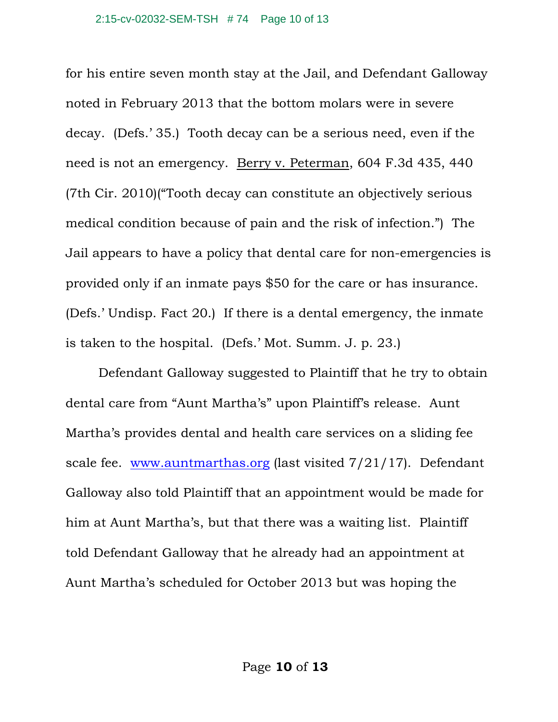for his entire seven month stay at the Jail, and Defendant Galloway noted in February 2013 that the bottom molars were in severe decay. (Defs.' 35.) Tooth decay can be a serious need, even if the need is not an emergency. Berry v. Peterman, 604 F.3d 435, 440 (7th Cir. 2010)("Tooth decay can constitute an objectively serious medical condition because of pain and the risk of infection.") The Jail appears to have a policy that dental care for non-emergencies is provided only if an inmate pays \$50 for the care or has insurance. (Defs.' Undisp. Fact 20.) If there is a dental emergency, the inmate is taken to the hospital. (Defs.' Mot. Summ. J. p. 23.)

Defendant Galloway suggested to Plaintiff that he try to obtain dental care from "Aunt Martha's" upon Plaintiff's release. Aunt Martha's provides dental and health care services on a sliding fee scale fee. www.auntmarthas.org (last visited 7/21/17). Defendant Galloway also told Plaintiff that an appointment would be made for him at Aunt Martha's, but that there was a waiting list. Plaintiff told Defendant Galloway that he already had an appointment at Aunt Martha's scheduled for October 2013 but was hoping the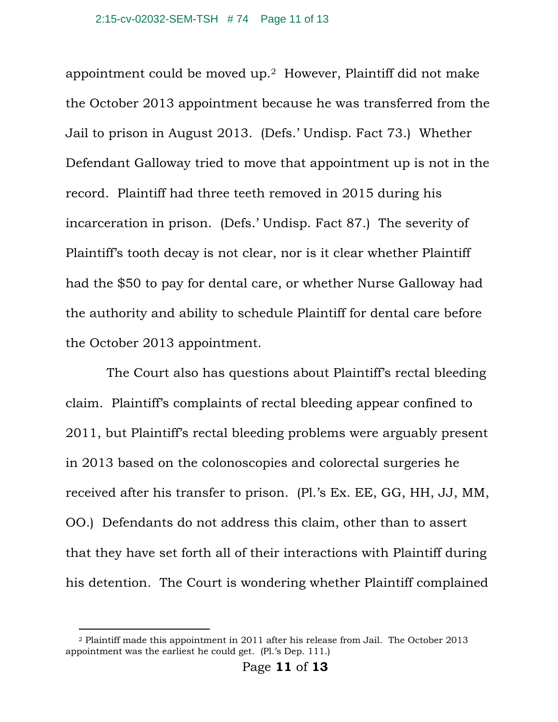appointment could be moved up.2 However, Plaintiff did not make the October 2013 appointment because he was transferred from the Jail to prison in August 2013. (Defs.' Undisp. Fact 73.) Whether Defendant Galloway tried to move that appointment up is not in the record. Plaintiff had three teeth removed in 2015 during his incarceration in prison. (Defs.' Undisp. Fact 87.) The severity of Plaintiff's tooth decay is not clear, nor is it clear whether Plaintiff had the \$50 to pay for dental care, or whether Nurse Galloway had the authority and ability to schedule Plaintiff for dental care before the October 2013 appointment.

 The Court also has questions about Plaintiff's rectal bleeding claim. Plaintiff's complaints of rectal bleeding appear confined to 2011, but Plaintiff's rectal bleeding problems were arguably present in 2013 based on the colonoscopies and colorectal surgeries he received after his transfer to prison. (Pl.'s Ex. EE, GG, HH, JJ, MM, OO.) Defendants do not address this claim, other than to assert that they have set forth all of their interactions with Plaintiff during his detention. The Court is wondering whether Plaintiff complained

 $\overline{a}$ 

<sup>2</sup> Plaintiff made this appointment in 2011 after his release from Jail. The October 2013 appointment was the earliest he could get. (Pl.'s Dep. 111.)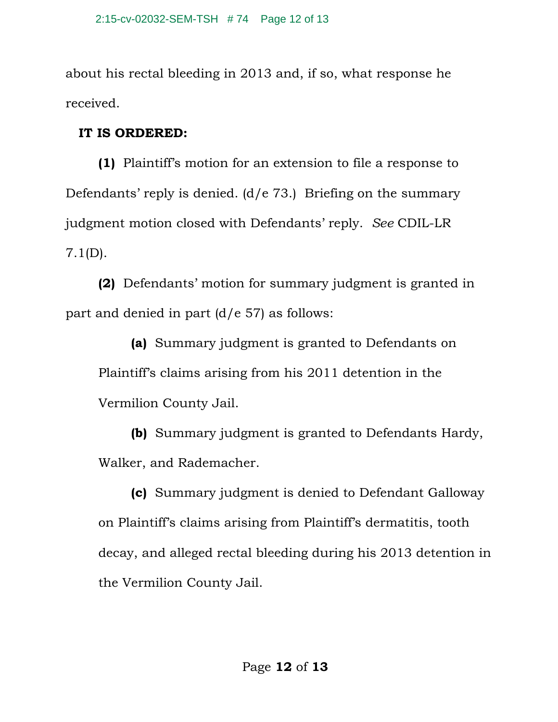about his rectal bleeding in 2013 and, if so, what response he received.

# **IT IS ORDERED:**

 **(1)** Plaintiff's motion for an extension to file a response to Defendants' reply is denied. (d/e 73.) Briefing on the summary judgment motion closed with Defendants' reply. *See* CDIL-LR 7.1(D).

**(2)** Defendants' motion for summary judgment is granted in part and denied in part  $(d/e 57)$  as follows:

**(a)** Summary judgment is granted to Defendants on Plaintiff's claims arising from his 2011 detention in the Vermilion County Jail.

**(b)** Summary judgment is granted to Defendants Hardy, Walker, and Rademacher.

**(c)** Summary judgment is denied to Defendant Galloway on Plaintiff's claims arising from Plaintiff's dermatitis, tooth decay, and alleged rectal bleeding during his 2013 detention in the Vermilion County Jail.